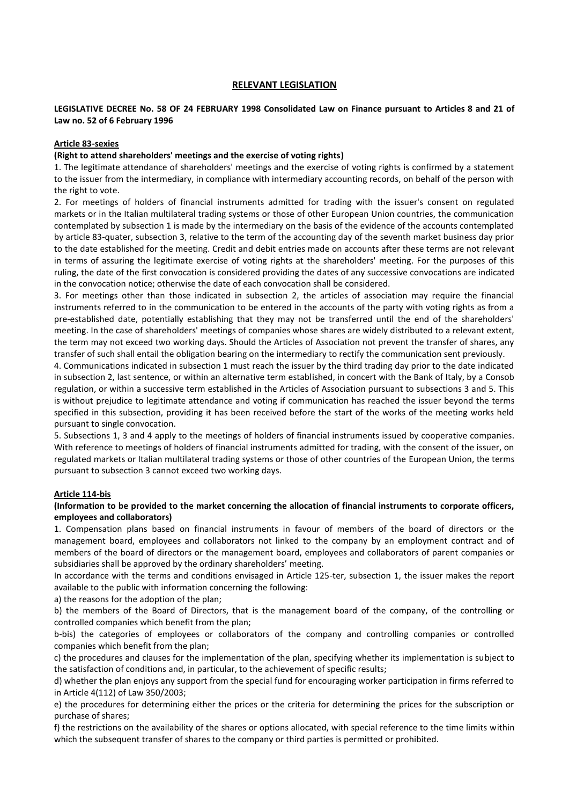#### **RELEVANT LEGISLATION**

### **LEGISLATIVE DECREE No. 58 OF 24 FEBRUARY 1998 Consolidated Law on Finance pursuant to Articles 8 and 21 of Law no. 52 of 6 February 1996**

#### **Article 83-sexies**

#### **(Right to attend shareholders' meetings and the exercise of voting rights)**

1. The legitimate attendance of shareholders' meetings and the exercise of voting rights is confirmed by a statement to the issuer from the intermediary, in compliance with intermediary accounting records, on behalf of the person with the right to vote.

2. For meetings of holders of financial instruments admitted for trading with the issuer's consent on regulated markets or in the Italian multilateral trading systems or those of other European Union countries, the communication contemplated by subsection 1 is made by the intermediary on the basis of the evidence of the accounts contemplated by article 83-quater, subsection 3, relative to the term of the accounting day of the seventh market business day prior to the date established for the meeting. Credit and debit entries made on accounts after these terms are not relevant in terms of assuring the legitimate exercise of voting rights at the shareholders' meeting. For the purposes of this ruling, the date of the first convocation is considered providing the dates of any successive convocations are indicated in the convocation notice; otherwise the date of each convocation shall be considered.

3. For meetings other than those indicated in subsection 2, the articles of association may require the financial instruments referred to in the communication to be entered in the accounts of the party with voting rights as from a pre-established date, potentially establishing that they may not be transferred until the end of the shareholders' meeting. In the case of shareholders' meetings of companies whose shares are widely distributed to a relevant extent, the term may not exceed two working days. Should the Articles of Association not prevent the transfer of shares, any transfer of such shall entail the obligation bearing on the intermediary to rectify the communication sent previously.

4. Communications indicated in subsection 1 must reach the issuer by the third trading day prior to the date indicated in subsection 2, last sentence, or within an alternative term established, in concert with the Bank of Italy, by a Consob regulation, or within a successive term established in the Articles of Association pursuant to subsections 3 and 5. This is without prejudice to legitimate attendance and voting if communication has reached the issuer beyond the terms specified in this subsection, providing it has been received before the start of the works of the meeting works held pursuant to single convocation.

5. Subsections 1, 3 and 4 apply to the meetings of holders of financial instruments issued by cooperative companies. With reference to meetings of holders of financial instruments admitted for trading, with the consent of the issuer, on regulated markets or Italian multilateral trading systems or those of other countries of the European Union, the terms pursuant to subsection 3 cannot exceed two working days.

#### **Article 114-bis**

#### **(Information to be provided to the market concerning the allocation of financial instruments to corporate officers, employees and collaborators)**

1. Compensation plans based on financial instruments in favour of members of the board of directors or the management board, employees and collaborators not linked to the company by an employment contract and of members of the board of directors or the management board, employees and collaborators of parent companies or subsidiaries shall be approved by the ordinary shareholders' meeting.

In accordance with the terms and conditions envisaged in Article 125-ter, subsection 1, the issuer makes the report available to the public with information concerning the following:

a) the reasons for the adoption of the plan;

b) the members of the Board of Directors, that is the management board of the company, of the controlling or controlled companies which benefit from the plan;

b-bis) the categories of employees or collaborators of the company and controlling companies or controlled companies which benefit from the plan;

c) the procedures and clauses for the implementation of the plan, specifying whether its implementation is subject to the satisfaction of conditions and, in particular, to the achievement of specific results;

d) whether the plan enjoys any support from the special fund for encouraging worker participation in firms referred to in Article 4(112) of Law 350/2003;

e) the procedures for determining either the prices or the criteria for determining the prices for the subscription or purchase of shares;

f) the restrictions on the availability of the shares or options allocated, with special reference to the time limits within which the subsequent transfer of shares to the company or third parties is permitted or prohibited.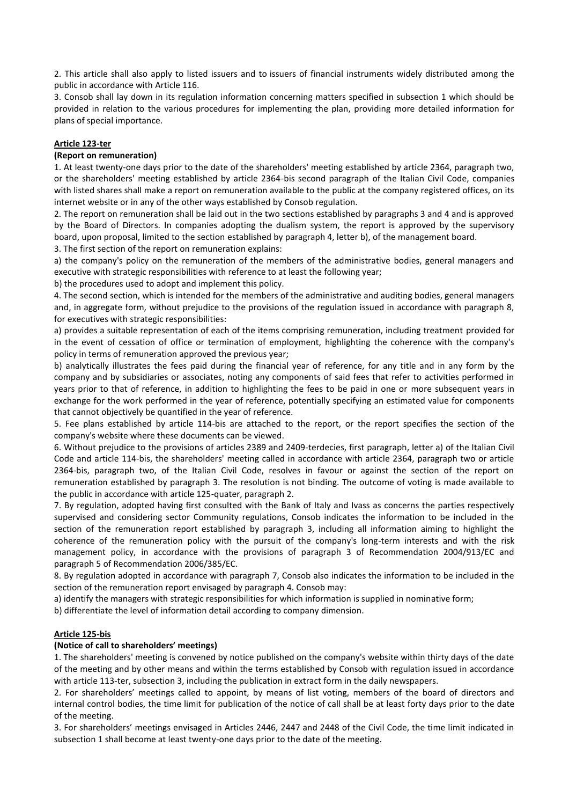2. This article shall also apply to listed issuers and to issuers of financial instruments widely distributed among the public in accordance with Article 116.

3. Consob shall lay down in its regulation information concerning matters specified in subsection 1 which should be provided in relation to the various procedures for implementing the plan, providing more detailed information for plans of special importance.

#### **Article 123-ter**

#### **(Report on remuneration)**

1. At least twenty-one days prior to the date of the shareholders' meeting established by article 2364, paragraph two, or the shareholders' meeting established by article 2364-bis second paragraph of the Italian Civil Code, companies with listed shares shall make a report on remuneration available to the public at the company registered offices, on its internet website or in any of the other ways established by Consob regulation.

2. The report on remuneration shall be laid out in the two sections established by paragraphs 3 and 4 and is approved by the Board of Directors. In companies adopting the dualism system, the report is approved by the supervisory board, upon proposal, limited to the section established by paragraph 4, letter b), of the management board.

3. The first section of the report on remuneration explains:

a) the company's policy on the remuneration of the members of the administrative bodies, general managers and executive with strategic responsibilities with reference to at least the following year;

b) the procedures used to adopt and implement this policy.

4. The second section, which is intended for the members of the administrative and auditing bodies, general managers and, in aggregate form, without prejudice to the provisions of the regulation issued in accordance with paragraph 8, for executives with strategic responsibilities:

a) provides a suitable representation of each of the items comprising remuneration, including treatment provided for in the event of cessation of office or termination of employment, highlighting the coherence with the company's policy in terms of remuneration approved the previous year;

b) analytically illustrates the fees paid during the financial year of reference, for any title and in any form by the company and by subsidiaries or associates, noting any components of said fees that refer to activities performed in years prior to that of reference, in addition to highlighting the fees to be paid in one or more subsequent years in exchange for the work performed in the year of reference, potentially specifying an estimated value for components that cannot objectively be quantified in the year of reference.

5. Fee plans established by article 114-bis are attached to the report, or the report specifies the section of the company's website where these documents can be viewed.

6. Without prejudice to the provisions of articles 2389 and 2409-terdecies, first paragraph, letter a) of the Italian Civil Code and article 114-bis, the shareholders' meeting called in accordance with article 2364, paragraph two or article 2364-bis, paragraph two, of the Italian Civil Code, resolves in favour or against the section of the report on remuneration established by paragraph 3. The resolution is not binding. The outcome of voting is made available to the public in accordance with article 125-quater, paragraph 2.

7. By regulation, adopted having first consulted with the Bank of Italy and Ivass as concerns the parties respectively supervised and considering sector Community regulations, Consob indicates the information to be included in the section of the remuneration report established by paragraph 3, including all information aiming to highlight the coherence of the remuneration policy with the pursuit of the company's long-term interests and with the risk management policy, in accordance with the provisions of paragraph 3 of Recommendation 2004/913/EC and paragraph 5 of Recommendation 2006/385/EC.

8. By regulation adopted in accordance with paragraph 7, Consob also indicates the information to be included in the section of the remuneration report envisaged by paragraph 4. Consob may:

a) identify the managers with strategic responsibilities for which information is supplied in nominative form;

b) differentiate the level of information detail according to company dimension.

#### **Article 125-bis**

#### **(Notice of call to shareholders' meetings)**

1. The shareholders' meeting is convened by notice published on the company's website within thirty days of the date of the meeting and by other means and within the terms established by Consob with regulation issued in accordance with article 113-ter, subsection 3, including the publication in extract form in the daily newspapers.

2. For shareholders' meetings called to appoint, by means of list voting, members of the board of directors and internal control bodies, the time limit for publication of the notice of call shall be at least forty days prior to the date of the meeting.

3. For shareholders' meetings envisaged in Articles 2446, 2447 and 2448 of the Civil Code, the time limit indicated in subsection 1 shall become at least twenty-one days prior to the date of the meeting.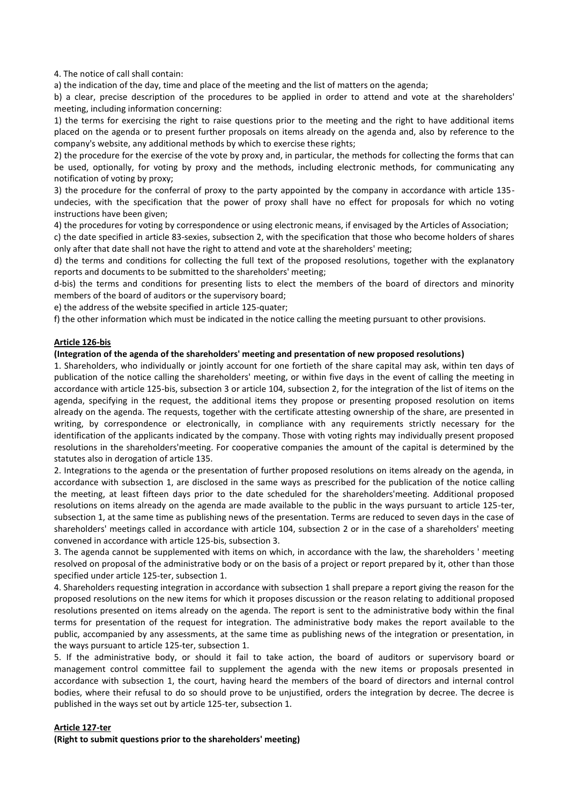4. The notice of call shall contain:

a) the indication of the day, time and place of the meeting and the list of matters on the agenda;

b) a clear, precise description of the procedures to be applied in order to attend and vote at the shareholders' meeting, including information concerning:

1) the terms for exercising the right to raise questions prior to the meeting and the right to have additional items placed on the agenda or to present further proposals on items already on the agenda and, also by reference to the company's website, any additional methods by which to exercise these rights;

2) the procedure for the exercise of the vote by proxy and, in particular, the methods for collecting the forms that can be used, optionally, for voting by proxy and the methods, including electronic methods, for communicating any notification of voting by proxy;

3) the procedure for the conferral of proxy to the party appointed by the company in accordance with article 135 undecies, with the specification that the power of proxy shall have no effect for proposals for which no voting instructions have been given;

4) the procedures for voting by correspondence or using electronic means, if envisaged by the Articles of Association;

c) the date specified in article 83-sexies, subsection 2, with the specification that those who become holders of shares only after that date shall not have the right to attend and vote at the shareholders' meeting;

d) the terms and conditions for collecting the full text of the proposed resolutions, together with the explanatory reports and documents to be submitted to the shareholders' meeting;

d-bis) the terms and conditions for presenting lists to elect the members of the board of directors and minority members of the board of auditors or the supervisory board;

e) the address of the website specified in article 125-quater;

f) the other information which must be indicated in the notice calling the meeting pursuant to other provisions.

#### **Article 126-bis**

#### **(Integration of the agenda of the shareholders' meeting and presentation of new proposed resolutions)**

1. Shareholders, who individually or jointly account for one fortieth of the share capital may ask, within ten days of publication of the notice calling the shareholders' meeting, or within five days in the event of calling the meeting in accordance with article 125-bis, subsection 3 or article 104, subsection 2, for the integration of the list of items on the agenda, specifying in the request, the additional items they propose or presenting proposed resolution on items already on the agenda. The requests, together with the certificate attesting ownership of the share, are presented in writing, by correspondence or electronically, in compliance with any requirements strictly necessary for the identification of the applicants indicated by the company. Those with voting rights may individually present proposed resolutions in the shareholders'meeting. For cooperative companies the amount of the capital is determined by the statutes also in derogation of article 135.

2. Integrations to the agenda or the presentation of further proposed resolutions on items already on the agenda, in accordance with subsection 1, are disclosed in the same ways as prescribed for the publication of the notice calling the meeting, at least fifteen days prior to the date scheduled for the shareholders'meeting. Additional proposed resolutions on items already on the agenda are made available to the public in the ways pursuant to article 125-ter, subsection 1, at the same time as publishing news of the presentation. Terms are reduced to seven days in the case of shareholders' meetings called in accordance with article 104, subsection 2 or in the case of a shareholders' meeting convened in accordance with article 125-bis, subsection 3.

3. The agenda cannot be supplemented with items on which, in accordance with the law, the shareholders ' meeting resolved on proposal of the administrative body or on the basis of a project or report prepared by it, other than those specified under article 125-ter, subsection 1.

4. Shareholders requesting integration in accordance with subsection 1 shall prepare a report giving the reason for the proposed resolutions on the new items for which it proposes discussion or the reason relating to additional proposed resolutions presented on items already on the agenda. The report is sent to the administrative body within the final terms for presentation of the request for integration. The administrative body makes the report available to the public, accompanied by any assessments, at the same time as publishing news of the integration or presentation, in the ways pursuant to article 125-ter, subsection 1.

5. If the administrative body, or should it fail to take action, the board of auditors or supervisory board or management control committee fail to supplement the agenda with the new items or proposals presented in accordance with subsection 1, the court, having heard the members of the board of directors and internal control bodies, where their refusal to do so should prove to be unjustified, orders the integration by decree. The decree is published in the ways set out by article 125-ter, subsection 1.

#### **Article 127-ter**

**(Right to submit questions prior to the shareholders' meeting)**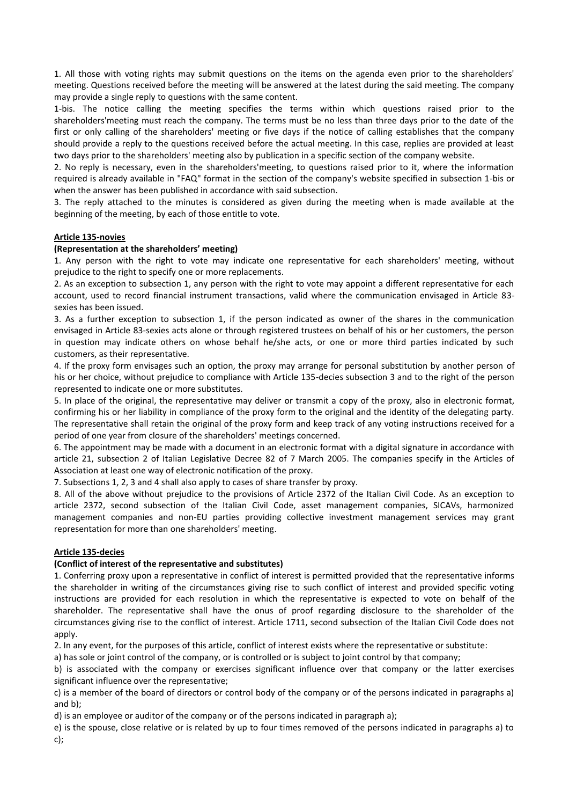1. All those with voting rights may submit questions on the items on the agenda even prior to the shareholders' meeting. Questions received before the meeting will be answered at the latest during the said meeting. The company may provide a single reply to questions with the same content.

1-bis. The notice calling the meeting specifies the terms within which questions raised prior to the shareholders'meeting must reach the company. The terms must be no less than three days prior to the date of the first or only calling of the shareholders' meeting or five days if the notice of calling establishes that the company should provide a reply to the questions received before the actual meeting. In this case, replies are provided at least two days prior to the shareholders' meeting also by publication in a specific section of the company website.

2. No reply is necessary, even in the shareholders'meeting, to questions raised prior to it, where the information required is already available in "FAQ" format in the section of the company's website specified in subsection 1-bis or when the answer has been published in accordance with said subsection.

3. The reply attached to the minutes is considered as given during the meeting when is made available at the beginning of the meeting, by each of those entitle to vote.

#### **Article 135-novies**

#### **(Representation at the shareholders' meeting)**

1. Any person with the right to vote may indicate one representative for each shareholders' meeting, without prejudice to the right to specify one or more replacements.

2. As an exception to subsection 1, any person with the right to vote may appoint a different representative for each account, used to record financial instrument transactions, valid where the communication envisaged in Article 83 sexies has been issued.

3. As a further exception to subsection 1, if the person indicated as owner of the shares in the communication envisaged in Article 83-sexies acts alone or through registered trustees on behalf of his or her customers, the person in question may indicate others on whose behalf he/she acts, or one or more third parties indicated by such customers, as their representative.

4. If the proxy form envisages such an option, the proxy may arrange for personal substitution by another person of his or her choice, without prejudice to compliance with Article 135-decies subsection 3 and to the right of the person represented to indicate one or more substitutes.

5. In place of the original, the representative may deliver or transmit a copy of the proxy, also in electronic format, confirming his or her liability in compliance of the proxy form to the original and the identity of the delegating party. The representative shall retain the original of the proxy form and keep track of any voting instructions received for a period of one year from closure of the shareholders' meetings concerned.

6. The appointment may be made with a document in an electronic format with a digital signature in accordance with article 21, subsection 2 of Italian Legislative Decree 82 of 7 March 2005. The companies specify in the Articles of Association at least one way of electronic notification of the proxy.

7. Subsections 1, 2, 3 and 4 shall also apply to cases of share transfer by proxy.

8. All of the above without prejudice to the provisions of Article 2372 of the Italian Civil Code. As an exception to article 2372, second subsection of the Italian Civil Code, asset management companies, SICAVs, harmonized management companies and non-EU parties providing collective investment management services may grant representation for more than one shareholders' meeting.

#### **Article 135-decies**

#### **(Conflict of interest of the representative and substitutes)**

1. Conferring proxy upon a representative in conflict of interest is permitted provided that the representative informs the shareholder in writing of the circumstances giving rise to such conflict of interest and provided specific voting instructions are provided for each resolution in which the representative is expected to vote on behalf of the shareholder. The representative shall have the onus of proof regarding disclosure to the shareholder of the circumstances giving rise to the conflict of interest. Article 1711, second subsection of the Italian Civil Code does not apply.

2. In any event, for the purposes of this article, conflict of interest exists where the representative or substitute:

a) has sole or joint control of the company, or is controlled or is subject to joint control by that company;

b) is associated with the company or exercises significant influence over that company or the latter exercises significant influence over the representative;

c) is a member of the board of directors or control body of the company or of the persons indicated in paragraphs a) and b);

d) is an employee or auditor of the company or of the persons indicated in paragraph a);

e) is the spouse, close relative or is related by up to four times removed of the persons indicated in paragraphs a) to c);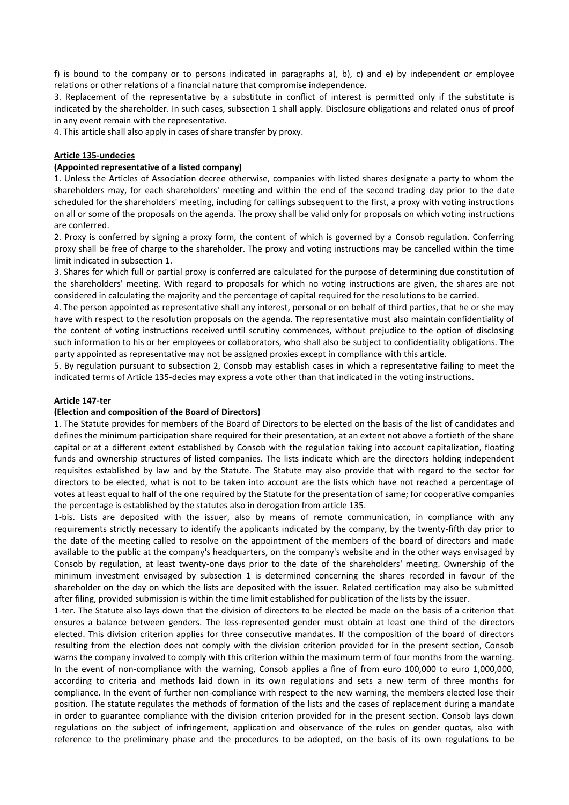f) is bound to the company or to persons indicated in paragraphs a), b), c) and e) by independent or employee relations or other relations of a financial nature that compromise independence.

3. Replacement of the representative by a substitute in conflict of interest is permitted only if the substitute is indicated by the shareholder. In such cases, subsection 1 shall apply. Disclosure obligations and related onus of proof in any event remain with the representative.

4. This article shall also apply in cases of share transfer by proxy.

#### **Article 135-undecies**

## **(Appointed representative of a listed company)**

1. Unless the Articles of Association decree otherwise, companies with listed shares designate a party to whom the shareholders may, for each shareholders' meeting and within the end of the second trading day prior to the date scheduled for the shareholders' meeting, including for callings subsequent to the first, a proxy with voting instructions on all or some of the proposals on the agenda. The proxy shall be valid only for proposals on which voting instructions are conferred.

2. Proxy is conferred by signing a proxy form, the content of which is governed by a Consob regulation. Conferring proxy shall be free of charge to the shareholder. The proxy and voting instructions may be cancelled within the time limit indicated in subsection 1.

3. Shares for which full or partial proxy is conferred are calculated for the purpose of determining due constitution of the shareholders' meeting. With regard to proposals for which no voting instructions are given, the shares are not considered in calculating the majority and the percentage of capital required for the resolutions to be carried.

4. The person appointed as representative shall any interest, personal or on behalf of third parties, that he or she may have with respect to the resolution proposals on the agenda. The representative must also maintain confidentiality of the content of voting instructions received until scrutiny commences, without prejudice to the option of disclosing such information to his or her employees or collaborators, who shall also be subject to confidentiality obligations. The party appointed as representative may not be assigned proxies except in compliance with this article.

5. By regulation pursuant to subsection 2, Consob may establish cases in which a representative failing to meet the indicated terms of Article 135-decies may express a vote other than that indicated in the voting instructions.

#### **Article 147-ter**

#### **(Election and composition of the Board of Directors)**

1. The Statute provides for members of the Board of Directors to be elected on the basis of the list of candidates and defines the minimum participation share required for their presentation, at an extent not above a fortieth of the share capital or at a different extent established by Consob with the regulation taking into account capitalization, floating funds and ownership structures of listed companies. The lists indicate which are the directors holding independent requisites established by law and by the Statute. The Statute may also provide that with regard to the sector for directors to be elected, what is not to be taken into account are the lists which have not reached a percentage of votes at least equal to half of the one required by the Statute for the presentation of same; for cooperative companies the percentage is established by the statutes also in derogation from article 135.

1-bis. Lists are deposited with the issuer, also by means of remote communication, in compliance with any requirements strictly necessary to identify the applicants indicated by the company, by the twenty-fifth day prior to the date of the meeting called to resolve on the appointment of the members of the board of directors and made available to the public at the company's headquarters, on the company's website and in the other ways envisaged by Consob by regulation, at least twenty-one days prior to the date of the shareholders' meeting. Ownership of the minimum investment envisaged by subsection 1 is determined concerning the shares recorded in favour of the shareholder on the day on which the lists are deposited with the issuer. Related certification may also be submitted after filing, provided submission is within the time limit established for publication of the lists by the issuer.

1-ter. The Statute also lays down that the division of directors to be elected be made on the basis of a criterion that ensures a balance between genders. The less-represented gender must obtain at least one third of the directors elected. This division criterion applies for three consecutive mandates. If the composition of the board of directors resulting from the election does not comply with the division criterion provided for in the present section, Consob warns the company involved to comply with this criterion within the maximum term of four months from the warning. In the event of non-compliance with the warning, Consob applies a fine of from euro 100,000 to euro 1,000,000, according to criteria and methods laid down in its own regulations and sets a new term of three months for compliance. In the event of further non-compliance with respect to the new warning, the members elected lose their position. The statute regulates the methods of formation of the lists and the cases of replacement during a mandate in order to guarantee compliance with the division criterion provided for in the present section. Consob lays down regulations on the subject of infringement, application and observance of the rules on gender quotas, also with reference to the preliminary phase and the procedures to be adopted, on the basis of its own regulations to be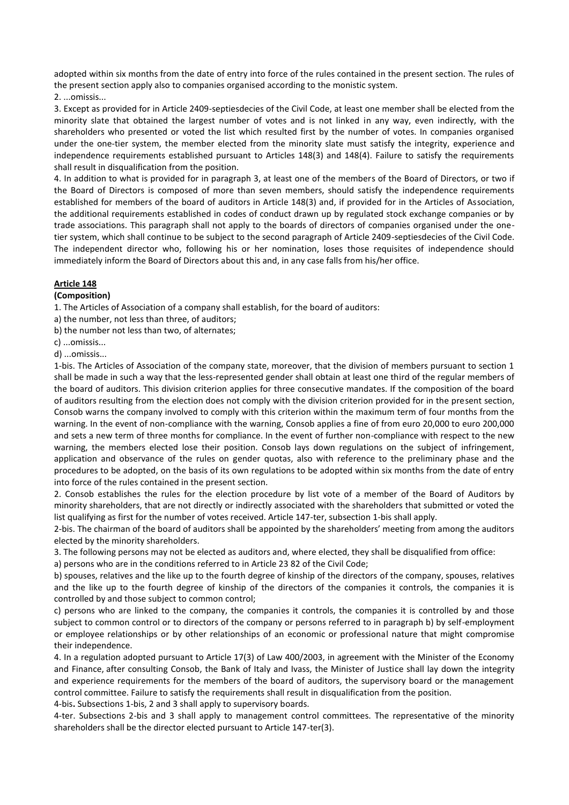adopted within six months from the date of entry into force of the rules contained in the present section. The rules of the present section apply also to companies organised according to the monistic system.

## 2. ...omissis

3. Except as provided for in Article 2409-septiesdecies of the Civil Code, at least one member shall be elected from the minority slate that obtained the largest number of votes and is not linked in any way, even indirectly, with the shareholders who presented or voted the list which resulted first by the number of votes. In companies organised under the one-tier system, the member elected from the minority slate must satisfy the integrity, experience and independence requirements established pursuant to Articles 148(3) and 148(4). Failure to satisfy the requirements shall result in disqualification from the position.

4. In addition to what is provided for in paragraph 3, at least one of the members of the Board of Directors, or two if the Board of Directors is composed of more than seven members, should satisfy the independence requirements established for members of the board of auditors in Article 148(3) and, if provided for in the Articles of Association, the additional requirements established in codes of conduct drawn up by regulated stock exchange companies or by trade associations. This paragraph shall not apply to the boards of directors of companies organised under the onetier system, which shall continue to be subject to the second paragraph of Article 2409-septiesdecies of the Civil Code. The independent director who, following his or her nomination, loses those requisites of independence should immediately inform the Board of Directors about this and, in any case falls from his/her office.

## **Article 148**

#### **(Composition)**

1. The Articles of Association of a company shall establish, for the board of auditors:

a) the number, not less than three, of auditors;

b) the number not less than two, of alternates;

c) ...omissis...

d) ...omissis...

1-bis. The Articles of Association of the company state, moreover, that the division of members pursuant to section 1 shall be made in such a way that the less-represented gender shall obtain at least one third of the regular members of the board of auditors. This division criterion applies for three consecutive mandates. If the composition of the board of auditors resulting from the election does not comply with the division criterion provided for in the present section, Consob warns the company involved to comply with this criterion within the maximum term of four months from the warning. In the event of non-compliance with the warning, Consob applies a fine of from euro 20,000 to euro 200,000 and sets a new term of three months for compliance. In the event of further non-compliance with respect to the new warning, the members elected lose their position. Consob lays down regulations on the subject of infringement, application and observance of the rules on gender quotas, also with reference to the preliminary phase and the procedures to be adopted, on the basis of its own regulations to be adopted within six months from the date of entry into force of the rules contained in the present section.

2. Consob establishes the rules for the election procedure by list vote of a member of the Board of Auditors by minority shareholders, that are not directly or indirectly associated with the shareholders that submitted or voted the list qualifying as first for the number of votes received. Article 147-ter, subsection 1-bis shall apply.

2-bis. The chairman of the board of auditors shall be appointed by the shareholders' meeting from among the auditors elected by the minority shareholders.

3. The following persons may not be elected as auditors and, where elected, they shall be disqualified from office:

a) persons who are in the conditions referred to in Article 23 82 of the Civil Code;

b) spouses, relatives and the like up to the fourth degree of kinship of the directors of the company, spouses, relatives and the like up to the fourth degree of kinship of the directors of the companies it controls, the companies it is controlled by and those subject to common control;

c) persons who are linked to the company, the companies it controls, the companies it is controlled by and those subject to common control or to directors of the company or persons referred to in paragraph b) by self-employment or employee relationships or by other relationships of an economic or professional nature that might compromise their independence.

4. In a regulation adopted pursuant to Article 17(3) of Law 400/2003, in agreement with the Minister of the Economy and Finance, after consulting Consob, the Bank of Italy and Ivass, the Minister of Justice shall lay down the integrity and experience requirements for the members of the board of auditors, the supervisory board or the management control committee. Failure to satisfy the requirements shall result in disqualification from the position.

4-bis**.** Subsections 1-bis, 2 and 3 shall apply to supervisory boards.

4-ter. Subsections 2-bis and 3 shall apply to management control committees. The representative of the minority shareholders shall be the director elected pursuant to Article 147-ter(3).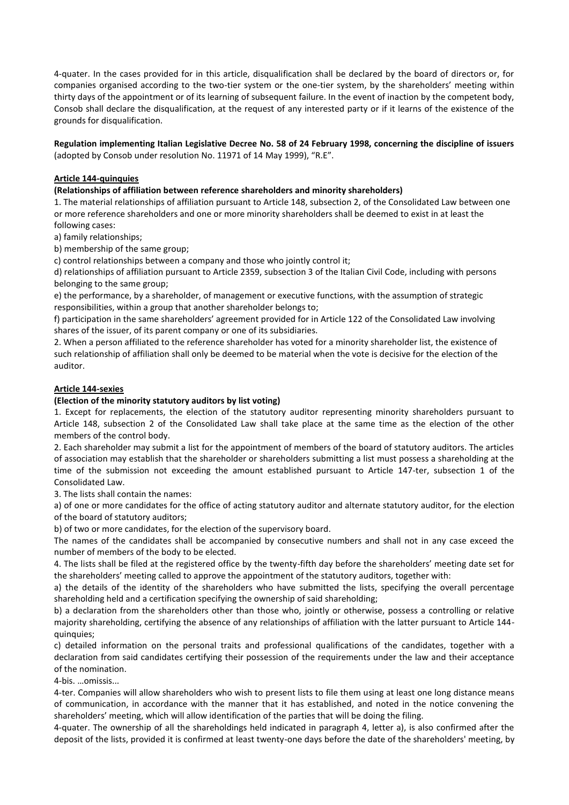4-quater. In the cases provided for in this article, disqualification shall be declared by the board of directors or, for companies organised according to the two-tier system or the one-tier system, by the shareholders' meeting within thirty days of the appointment or of its learning of subsequent failure. In the event of inaction by the competent body, Consob shall declare the disqualification, at the request of any interested party or if it learns of the existence of the grounds for disqualification.

**Regulation implementing Italian Legislative Decree No. 58 of 24 February 1998, concerning the discipline of issuers**  (adopted by Consob under resolution No. 11971 of 14 May 1999), "R.E".

#### **Article 144-quinquies**

#### **(Relationships of affiliation between reference shareholders and minority shareholders)**

1. The material relationships of affiliation pursuant to Article 148, subsection 2, of the Consolidated Law between one or more reference shareholders and one or more minority shareholders shall be deemed to exist in at least the following cases:

a) family relationships;

b) membership of the same group;

c) control relationships between a company and those who jointly control it;

d) relationships of affiliation pursuant to Article 2359, subsection 3 of the Italian Civil Code, including with persons belonging to the same group;

e) the performance, by a shareholder, of management or executive functions, with the assumption of strategic responsibilities, within a group that another shareholder belongs to;

f) participation in the same shareholders' agreement provided for in Article 122 of the Consolidated Law involving shares of the issuer, of its parent company or one of its subsidiaries.

2. When a person affiliated to the reference shareholder has voted for a minority shareholder list, the existence of such relationship of affiliation shall only be deemed to be material when the vote is decisive for the election of the auditor.

#### **Article 144-sexies**

#### **(Election of the minority statutory auditors by list voting)**

1. Except for replacements, the election of the statutory auditor representing minority shareholders pursuant to Article 148, subsection 2 of the Consolidated Law shall take place at the same time as the election of the other members of the control body.

2. Each shareholder may submit a list for the appointment of members of the board of statutory auditors. The articles of association may establish that the shareholder or shareholders submitting a list must possess a shareholding at the time of the submission not exceeding the amount established pursuant to Article 147-ter, subsection 1 of the Consolidated Law.

3. The lists shall contain the names:

a) of one or more candidates for the office of acting statutory auditor and alternate statutory auditor, for the election of the board of statutory auditors;

b) of two or more candidates, for the election of the supervisory board.

The names of the candidates shall be accompanied by consecutive numbers and shall not in any case exceed the number of members of the body to be elected.

4. The lists shall be filed at the registered office by the twenty-fifth day before the shareholders' meeting date set for the shareholders' meeting called to approve the appointment of the statutory auditors, together with:

a) the details of the identity of the shareholders who have submitted the lists, specifying the overall percentage shareholding held and a certification specifying the ownership of said shareholding;

b) a declaration from the shareholders other than those who, jointly or otherwise, possess a controlling or relative majority shareholding, certifying the absence of any relationships of affiliation with the latter pursuant to Article 144 quinquies;

c) detailed information on the personal traits and professional qualifications of the candidates, together with a declaration from said candidates certifying their possession of the requirements under the law and their acceptance of the nomination.

4-bis. …omissis...

4-ter. Companies will allow shareholders who wish to present lists to file them using at least one long distance means of communication, in accordance with the manner that it has established, and noted in the notice convening the shareholders' meeting, which will allow identification of the parties that will be doing the filing.

4-quater. The ownership of all the shareholdings held indicated in paragraph 4, letter a), is also confirmed after the deposit of the lists, provided it is confirmed at least twenty-one days before the date of the shareholders' meeting, by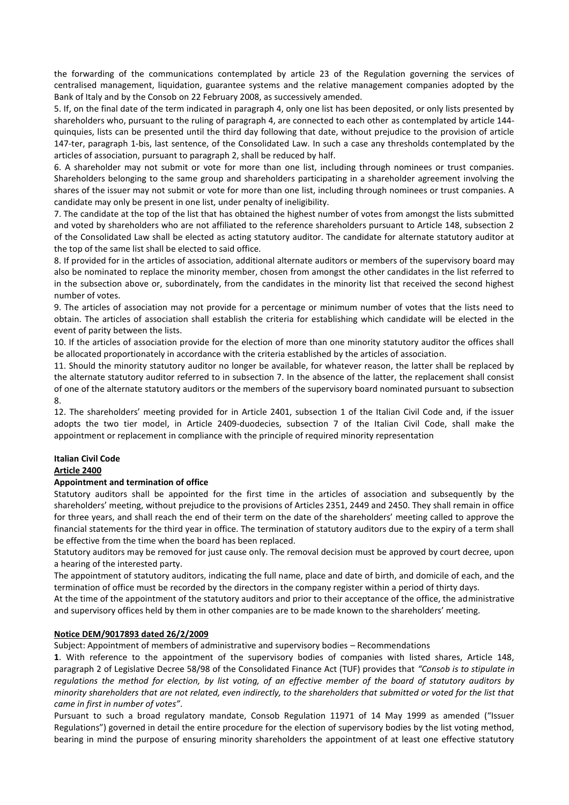the forwarding of the communications contemplated by article 23 of the Regulation governing the services of centralised management, liquidation, guarantee systems and the relative management companies adopted by the Bank of Italy and by the Consob on 22 February 2008, as successively amended.

5. If, on the final date of the term indicated in paragraph 4, only one list has been deposited, or only lists presented by shareholders who, pursuant to the ruling of paragraph 4, are connected to each other as contemplated by article 144 quinquies, lists can be presented until the third day following that date, without prejudice to the provision of article 147-ter, paragraph 1-bis, last sentence, of the Consolidated Law. In such a case any thresholds contemplated by the articles of association, pursuant to paragraph 2, shall be reduced by half.

6. A shareholder may not submit or vote for more than one list, including through nominees or trust companies. Shareholders belonging to the same group and shareholders participating in a shareholder agreement involving the shares of the issuer may not submit or vote for more than one list, including through nominees or trust companies. A candidate may only be present in one list, under penalty of ineligibility.

7. The candidate at the top of the list that has obtained the highest number of votes from amongst the lists submitted and voted by shareholders who are not affiliated to the reference shareholders pursuant to Article 148, subsection 2 of the Consolidated Law shall be elected as acting statutory auditor. The candidate for alternate statutory auditor at the top of the same list shall be elected to said office.

8. If provided for in the articles of association, additional alternate auditors or members of the supervisory board may also be nominated to replace the minority member, chosen from amongst the other candidates in the list referred to in the subsection above or, subordinately, from the candidates in the minority list that received the second highest number of votes.

9. The articles of association may not provide for a percentage or minimum number of votes that the lists need to obtain. The articles of association shall establish the criteria for establishing which candidate will be elected in the event of parity between the lists.

10. If the articles of association provide for the election of more than one minority statutory auditor the offices shall be allocated proportionately in accordance with the criteria established by the articles of association.

11. Should the minority statutory auditor no longer be available, for whatever reason, the latter shall be replaced by the alternate statutory auditor referred to in subsection 7. In the absence of the latter, the replacement shall consist of one of the alternate statutory auditors or the members of the supervisory board nominated pursuant to subsection 8.

12. The shareholders' meeting provided for in Article 2401, subsection 1 of the Italian Civil Code and, if the issuer adopts the two tier model, in Article 2409-duodecies, subsection 7 of the Italian Civil Code, shall make the appointment or replacement in compliance with the principle of required minority representation

# **Italian Civil Code**

## **Article 2400**

## **Appointment and termination of office**

Statutory auditors shall be appointed for the first time in the articles of association and subsequently by the shareholders' meeting, without prejudice to the provisions of Articles 2351, 2449 and 2450. They shall remain in office for three years, and shall reach the end of their term on the date of the shareholders' meeting called to approve the financial statements for the third year in office. The termination of statutory auditors due to the expiry of a term shall be effective from the time when the board has been replaced.

Statutory auditors may be removed for just cause only. The removal decision must be approved by court decree, upon a hearing of the interested party.

The appointment of statutory auditors, indicating the full name, place and date of birth, and domicile of each, and the termination of office must be recorded by the directors in the company register within a period of thirty days.

At the time of the appointment of the statutory auditors and prior to their acceptance of the office, the administrative and supervisory offices held by them in other companies are to be made known to the shareholders' meeting.

## **Notice DEM/9017893 dated 26/2/2009**

Subject: Appointment of members of administrative and supervisory bodies – Recommendations

**1**. With reference to the appointment of the supervisory bodies of companies with listed shares, Article 148, paragraph 2 of Legislative Decree 58/98 of the Consolidated Finance Act (TUF) provides that *"Consob is to stipulate in regulations the method for election, by list voting, of an effective member of the board of statutory auditors by minority shareholders that are not related, even indirectly, to the shareholders that submitted or voted for the list that came in first in number of votes"*.

Pursuant to such a broad regulatory mandate, Consob Regulation 11971 of 14 May 1999 as amended ("Issuer Regulations") governed in detail the entire procedure for the election of supervisory bodies by the list voting method, bearing in mind the purpose of ensuring minority shareholders the appointment of at least one effective statutory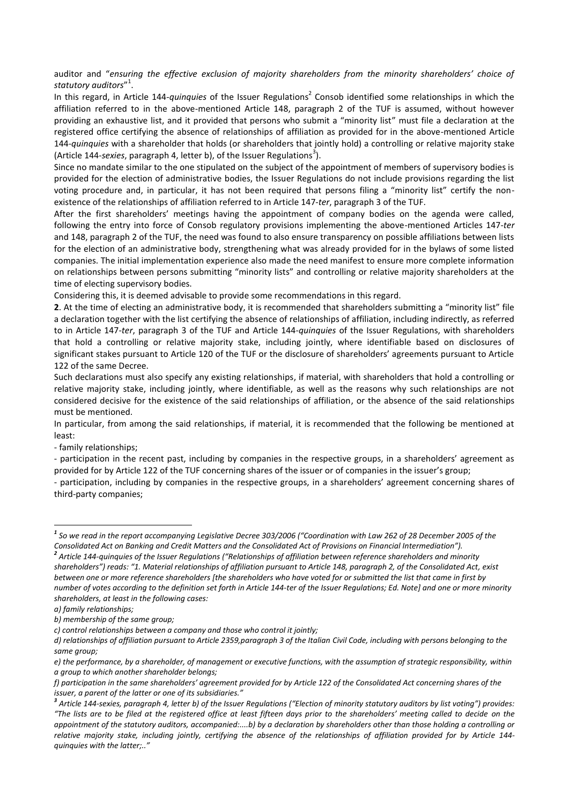auditor and "*ensuring the effective exclusion of majority shareholders from the minority shareholders' choice of statutory auditors*" 1 .

In this regard, in Article 144-*quinquies* of the Issuer Regulations<sup>2</sup> Consob identified some relationships in which the affiliation referred to in the above-mentioned Article 148, paragraph 2 of the TUF is assumed, without however providing an exhaustive list, and it provided that persons who submit a "minority list" must file a declaration at the registered office certifying the absence of relationships of affiliation as provided for in the above-mentioned Article 144-*quinquies* with a shareholder that holds (or shareholders that jointly hold) a controlling or relative majority stake (Article 144-sexies, paragraph 4, letter b), of the Issuer Regulations<sup>3</sup>).

Since no mandate similar to the one stipulated on the subject of the appointment of members of supervisory bodies is provided for the election of administrative bodies, the Issuer Regulations do not include provisions regarding the list voting procedure and, in particular, it has not been required that persons filing a "minority list" certify the nonexistence of the relationships of affiliation referred to in Article 147-*ter*, paragraph 3 of the TUF.

After the first shareholders' meetings having the appointment of company bodies on the agenda were called, following the entry into force of Consob regulatory provisions implementing the above-mentioned Articles 147-*ter* and 148, paragraph 2 of the TUF, the need was found to also ensure transparency on possible affiliations between lists for the election of an administrative body, strengthening what was already provided for in the bylaws of some listed companies. The initial implementation experience also made the need manifest to ensure more complete information on relationships between persons submitting "minority lists" and controlling or relative majority shareholders at the time of electing supervisory bodies.

Considering this, it is deemed advisable to provide some recommendations in this regard.

**2**. At the time of electing an administrative body, it is recommended that shareholders submitting a "minority list" file a declaration together with the list certifying the absence of relationships of affiliation, including indirectly, as referred to in Article 147-*ter*, paragraph 3 of the TUF and Article 144-*quinquies* of the Issuer Regulations, with shareholders that hold a controlling or relative majority stake, including jointly, where identifiable based on disclosures of significant stakes pursuant to Article 120 of the TUF or the disclosure of shareholders' agreements pursuant to Article 122 of the same Decree.

Such declarations must also specify any existing relationships, if material, with shareholders that hold a controlling or relative majority stake, including jointly, where identifiable, as well as the reasons why such relationships are not considered decisive for the existence of the said relationships of affiliation, or the absence of the said relationships must be mentioned.

In particular, from among the said relationships, if material, it is recommended that the following be mentioned at least:

- family relationships;

- participation in the recent past, including by companies in the respective groups, in a shareholders' agreement as provided for by Article 122 of the TUF concerning shares of the issuer or of companies in the issuer's group;

- participation, including by companies in the respective groups, in a shareholders' agreement concerning shares of third-party companies;

**.** 

*<sup>1</sup> So we read in the report accompanying Legislative Decree 303/2006 ("Coordination with Law 262 of 28 December 2005 of the Consolidated Act on Banking and Credit Matters and the Consolidated Act of Provisions on Financial Intermediation").*

*<sup>2</sup> Article 144-quinquies of the Issuer Regulations ("Relationships of affiliation between reference shareholders and minority shareholders") reads: "1. Material relationships of affiliation pursuant to Article 148, paragraph 2, of the Consolidated Act, exist between one or more reference shareholders [the shareholders who have voted for or submitted the list that came in first by number of votes according to the definition set forth in Article 144-ter of the Issuer Regulations; Ed. Note] and one or more minority shareholders, at least in the following cases:*

*a) family relationships;*

*b) membership of the same group;*

*c) control relationships between a company and those who control it jointly;*

*d) relationships of affiliation pursuant to Article 2359,paragraph 3 of the Italian Civil Code, including with persons belonging to the same group;*

*e) the performance, by a shareholder, of management or executive functions, with the assumption of strategic responsibility, within a group to which another shareholder belongs;*

*f) participation in the same shareholders' agreement provided for by Article 122 of the Consolidated Act concerning shares of the issuer, a parent of the latter or one of its subsidiaries."*

*<sup>3</sup> Article 144-sexies, paragraph 4, letter b) of the Issuer Regulations ("Election of minority statutory auditors by list voting") provides: "The lists are to be filed at the registered office at least fifteen days prior to the shareholders' meeting called to decide on the appointment of the statutory auditors, accompanied:....b) by a declaration by shareholders other than those holding a controlling or relative majority stake, including jointly, certifying the absence of the relationships of affiliation provided for by Article 144 quinquies with the latter;.."*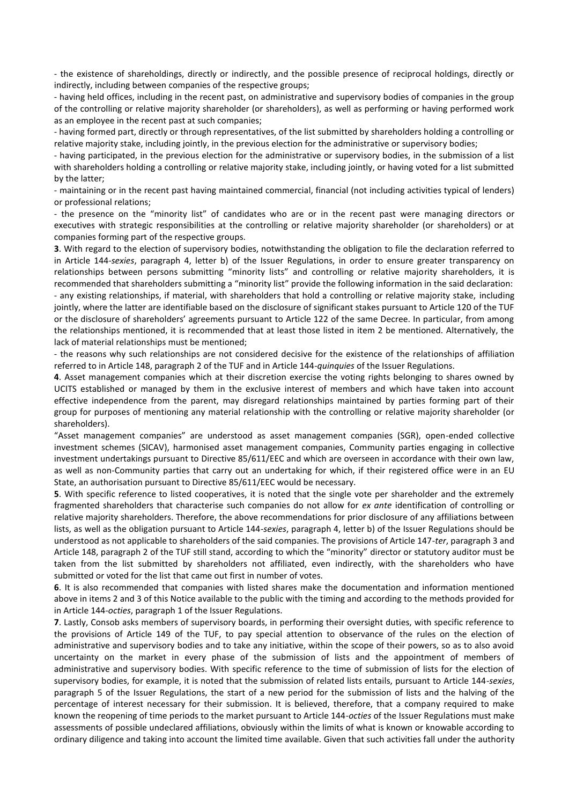- the existence of shareholdings, directly or indirectly, and the possible presence of reciprocal holdings, directly or indirectly, including between companies of the respective groups;

- having held offices, including in the recent past, on administrative and supervisory bodies of companies in the group of the controlling or relative majority shareholder (or shareholders), as well as performing or having performed work as an employee in the recent past at such companies;

- having formed part, directly or through representatives, of the list submitted by shareholders holding a controlling or relative majority stake, including jointly, in the previous election for the administrative or supervisory bodies;

- having participated, in the previous election for the administrative or supervisory bodies, in the submission of a list with shareholders holding a controlling or relative majority stake, including jointly, or having voted for a list submitted by the latter;

- maintaining or in the recent past having maintained commercial, financial (not including activities typical of lenders) or professional relations;

- the presence on the "minority list" of candidates who are or in the recent past were managing directors or executives with strategic responsibilities at the controlling or relative majority shareholder (or shareholders) or at companies forming part of the respective groups.

**3**. With regard to the election of supervisory bodies, notwithstanding the obligation to file the declaration referred to in Article 144-*sexies*, paragraph 4, letter b) of the Issuer Regulations, in order to ensure greater transparency on relationships between persons submitting "minority lists" and controlling or relative majority shareholders, it is recommended that shareholders submitting a "minority list" provide the following information in the said declaration: - any existing relationships, if material, with shareholders that hold a controlling or relative majority stake, including jointly, where the latter are identifiable based on the disclosure of significant stakes pursuant to Article 120 of the TUF or the disclosure of shareholders' agreements pursuant to Article 122 of the same Decree. In particular, from among the relationships mentioned, it is recommended that at least those listed in item 2 be mentioned. Alternatively, the lack of material relationships must be mentioned;

- the reasons why such relationships are not considered decisive for the existence of the relationships of affiliation referred to in Article 148, paragraph 2 of the TUF and in Article 144-*quinquies* of the Issuer Regulations.

**4**. Asset management companies which at their discretion exercise the voting rights belonging to shares owned by UCITS established or managed by them in the exclusive interest of members and which have taken into account effective independence from the parent, may disregard relationships maintained by parties forming part of their group for purposes of mentioning any material relationship with the controlling or relative majority shareholder (or shareholders).

"Asset management companies" are understood as asset management companies (SGR), open-ended collective investment schemes (SICAV), harmonised asset management companies, Community parties engaging in collective investment undertakings pursuant to Directive 85/611/EEC and which are overseen in accordance with their own law, as well as non-Community parties that carry out an undertaking for which, if their registered office were in an EU State, an authorisation pursuant to Directive 85/611/EEC would be necessary.

**5**. With specific reference to listed cooperatives, it is noted that the single vote per shareholder and the extremely fragmented shareholders that characterise such companies do not allow for *ex ante* identification of controlling or relative majority shareholders. Therefore, the above recommendations for prior disclosure of any affiliations between lists, as well as the obligation pursuant to Article 144-*sexies*, paragraph 4, letter b) of the Issuer Regulations should be understood as not applicable to shareholders of the said companies. The provisions of Article 147-*ter*, paragraph 3 and Article 148, paragraph 2 of the TUF still stand, according to which the "minority" director or statutory auditor must be taken from the list submitted by shareholders not affiliated, even indirectly, with the shareholders who have submitted or voted for the list that came out first in number of votes.

**6**. It is also recommended that companies with listed shares make the documentation and information mentioned above in items 2 and 3 of this Notice available to the public with the timing and according to the methods provided for in Article 144-*octies*, paragraph 1 of the Issuer Regulations.

**7**. Lastly, Consob asks members of supervisory boards, in performing their oversight duties, with specific reference to the provisions of Article 149 of the TUF, to pay special attention to observance of the rules on the election of administrative and supervisory bodies and to take any initiative, within the scope of their powers, so as to also avoid uncertainty on the market in every phase of the submission of lists and the appointment of members of administrative and supervisory bodies. With specific reference to the time of submission of lists for the election of supervisory bodies, for example, it is noted that the submission of related lists entails, pursuant to Article 144-*sexies*, paragraph 5 of the Issuer Regulations, the start of a new period for the submission of lists and the halving of the percentage of interest necessary for their submission. It is believed, therefore, that a company required to make known the reopening of time periods to the market pursuant to Article 144-*octies* of the Issuer Regulations must make assessments of possible undeclared affiliations, obviously within the limits of what is known or knowable according to ordinary diligence and taking into account the limited time available. Given that such activities fall under the authority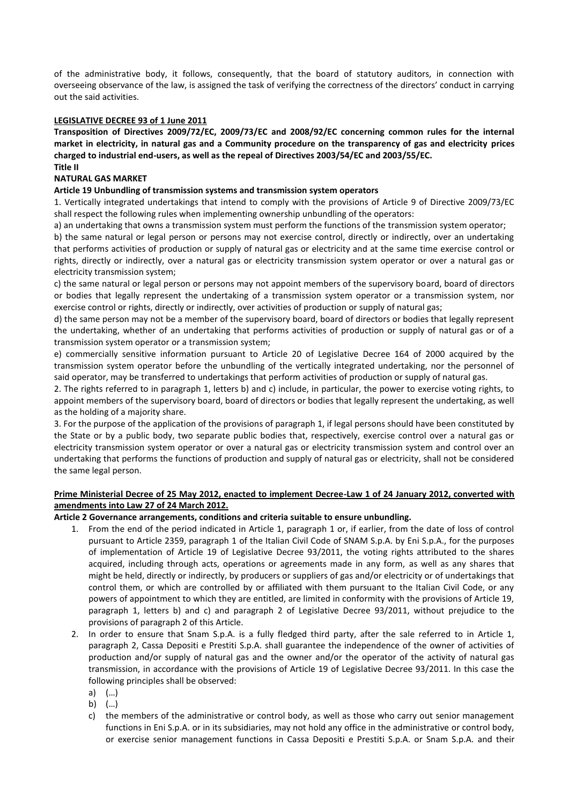of the administrative body, it follows, consequently, that the board of statutory auditors, in connection with overseeing observance of the law, is assigned the task of verifying the correctness of the directors' conduct in carrying out the said activities.

#### **LEGISLATIVE DECREE 93 of 1 June 2011**

**Transposition of Directives 2009/72/EC, 2009/73/EC and 2008/92/EC concerning common rules for the internal market in electricity, in natural gas and a Community procedure on the transparency of gas and electricity prices charged to industrial end-users, as well as the repeal of Directives 2003/54/EC and 2003/55/EC. Title II**

#### **NATURAL GAS MARKET**

#### **Article 19 Unbundling of transmission systems and transmission system operators**

1. Vertically integrated undertakings that intend to comply with the provisions of Article 9 of Directive 2009/73/EC shall respect the following rules when implementing ownership unbundling of the operators:

a) an undertaking that owns a transmission system must perform the functions of the transmission system operator;

b) the same natural or legal person or persons may not exercise control, directly or indirectly, over an undertaking that performs activities of production or supply of natural gas or electricity and at the same time exercise control or rights, directly or indirectly, over a natural gas or electricity transmission system operator or over a natural gas or electricity transmission system;

c) the same natural or legal person or persons may not appoint members of the supervisory board, board of directors or bodies that legally represent the undertaking of a transmission system operator or a transmission system, nor exercise control or rights, directly or indirectly, over activities of production or supply of natural gas;

d) the same person may not be a member of the supervisory board, board of directors or bodies that legally represent the undertaking, whether of an undertaking that performs activities of production or supply of natural gas or of a transmission system operator or a transmission system;

e) commercially sensitive information pursuant to Article 20 of Legislative Decree 164 of 2000 acquired by the transmission system operator before the unbundling of the vertically integrated undertaking, nor the personnel of said operator, may be transferred to undertakings that perform activities of production or supply of natural gas.

2. The rights referred to in paragraph 1, letters b) and c) include, in particular, the power to exercise voting rights, to appoint members of the supervisory board, board of directors or bodies that legally represent the undertaking, as well as the holding of a majority share.

3. For the purpose of the application of the provisions of paragraph 1, if legal persons should have been constituted by the State or by a public body, two separate public bodies that, respectively, exercise control over a natural gas or electricity transmission system operator or over a natural gas or electricity transmission system and control over an undertaking that performs the functions of production and supply of natural gas or electricity, shall not be considered the same legal person.

## **Prime Ministerial Decree of 25 May 2012, enacted to implement Decree-Law 1 of 24 January 2012, converted with amendments into Law 27 of 24 March 2012.**

#### **Article 2 Governance arrangements, conditions and criteria suitable to ensure unbundling.**

- 1. From the end of the period indicated in Article 1, paragraph 1 or, if earlier, from the date of loss of control pursuant to Article 2359, paragraph 1 of the Italian Civil Code of SNAM S.p.A. by Eni S.p.A., for the purposes of implementation of Article 19 of Legislative Decree 93/2011, the voting rights attributed to the shares acquired, including through acts, operations or agreements made in any form, as well as any shares that might be held, directly or indirectly, by producers or suppliers of gas and/or electricity or of undertakings that control them, or which are controlled by or affiliated with them pursuant to the Italian Civil Code, or any powers of appointment to which they are entitled, are limited in conformity with the provisions of Article 19, paragraph 1, letters b) and c) and paragraph 2 of Legislative Decree 93/2011, without prejudice to the provisions of paragraph 2 of this Article.
- 2. In order to ensure that Snam S.p.A. is a fully fledged third party, after the sale referred to in Article 1, paragraph 2, Cassa Depositi e Prestiti S.p.A. shall guarantee the independence of the owner of activities of production and/or supply of natural gas and the owner and/or the operator of the activity of natural gas transmission, in accordance with the provisions of Article 19 of Legislative Decree 93/2011. In this case the following principles shall be observed:
	- a) (…)
	- b) (…)
	- c) the members of the administrative or control body, as well as those who carry out senior management functions in Eni S.p.A. or in its subsidiaries, may not hold any office in the administrative or control body, or exercise senior management functions in Cassa Depositi e Prestiti S.p.A. or Snam S.p.A. and their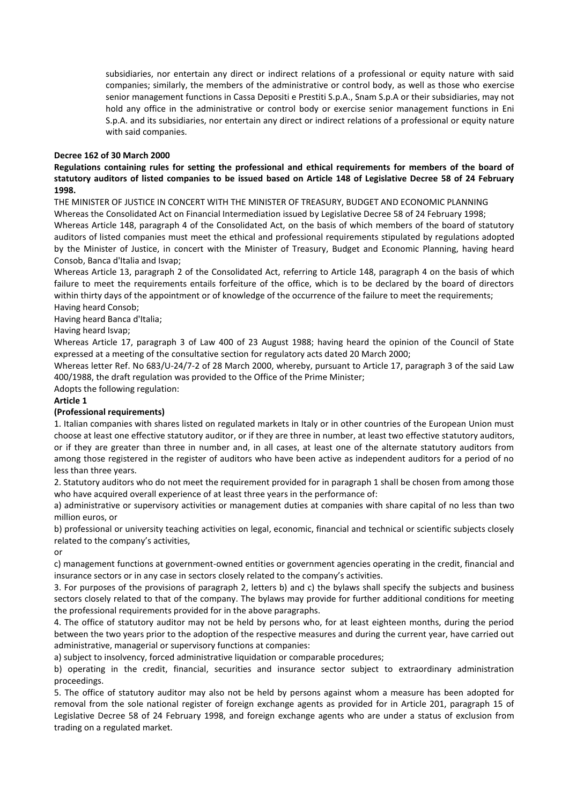subsidiaries, nor entertain any direct or indirect relations of a professional or equity nature with said companies; similarly, the members of the administrative or control body, as well as those who exercise senior management functions in Cassa Depositi e Prestiti S.p.A., Snam S.p.A or their subsidiaries, may not hold any office in the administrative or control body or exercise senior management functions in Eni S.p.A. and its subsidiaries, nor entertain any direct or indirect relations of a professional or equity nature with said companies.

#### **Decree 162 of 30 March 2000**

## **Regulations containing rules for setting the professional and ethical requirements for members of the board of statutory auditors of listed companies to be issued based on Article 148 of Legislative Decree 58 of 24 February 1998.**

THE MINISTER OF JUSTICE IN CONCERT WITH THE MINISTER OF TREASURY, BUDGET AND ECONOMIC PLANNING

Whereas the Consolidated Act on Financial Intermediation issued by Legislative Decree 58 of 24 February 1998; Whereas Article 148, paragraph 4 of the Consolidated Act, on the basis of which members of the board of statutory auditors of listed companies must meet the ethical and professional requirements stipulated by regulations adopted by the Minister of Justice, in concert with the Minister of Treasury, Budget and Economic Planning, having heard Consob, Banca d'Italia and Isvap;

Whereas Article 13, paragraph 2 of the Consolidated Act, referring to Article 148, paragraph 4 on the basis of which failure to meet the requirements entails forfeiture of the office, which is to be declared by the board of directors within thirty days of the appointment or of knowledge of the occurrence of the failure to meet the requirements; Having heard Consob;

Having heard Banca d'Italia;

Having heard Isvap;

Whereas Article 17, paragraph 3 of Law 400 of 23 August 1988; having heard the opinion of the Council of State expressed at a meeting of the consultative section for regulatory acts dated 20 March 2000;

Whereas letter Ref. No 683/U-24/7-2 of 28 March 2000, whereby, pursuant to Article 17, paragraph 3 of the said Law 400/1988, the draft regulation was provided to the Office of the Prime Minister;

Adopts the following regulation:

## **Article 1**

#### **(Professional requirements)**

1. Italian companies with shares listed on regulated markets in Italy or in other countries of the European Union must choose at least one effective statutory auditor, or if they are three in number, at least two effective statutory auditors, or if they are greater than three in number and, in all cases, at least one of the alternate statutory auditors from among those registered in the register of auditors who have been active as independent auditors for a period of no less than three years.

2. Statutory auditors who do not meet the requirement provided for in paragraph 1 shall be chosen from among those who have acquired overall experience of at least three years in the performance of:

a) administrative or supervisory activities or management duties at companies with share capital of no less than two million euros, or

b) professional or university teaching activities on legal, economic, financial and technical or scientific subjects closely related to the company's activities,

or

c) management functions at government-owned entities or government agencies operating in the credit, financial and insurance sectors or in any case in sectors closely related to the company's activities.

3. For purposes of the provisions of paragraph 2, letters b) and c) the bylaws shall specify the subjects and business sectors closely related to that of the company. The bylaws may provide for further additional conditions for meeting the professional requirements provided for in the above paragraphs.

4. The office of statutory auditor may not be held by persons who, for at least eighteen months, during the period between the two years prior to the adoption of the respective measures and during the current year, have carried out administrative, managerial or supervisory functions at companies:

a) subject to insolvency, forced administrative liquidation or comparable procedures;

b) operating in the credit, financial, securities and insurance sector subject to extraordinary administration proceedings.

5. The office of statutory auditor may also not be held by persons against whom a measure has been adopted for removal from the sole national register of foreign exchange agents as provided for in Article 201, paragraph 15 of Legislative Decree 58 of 24 February 1998, and foreign exchange agents who are under a status of exclusion from trading on a regulated market.